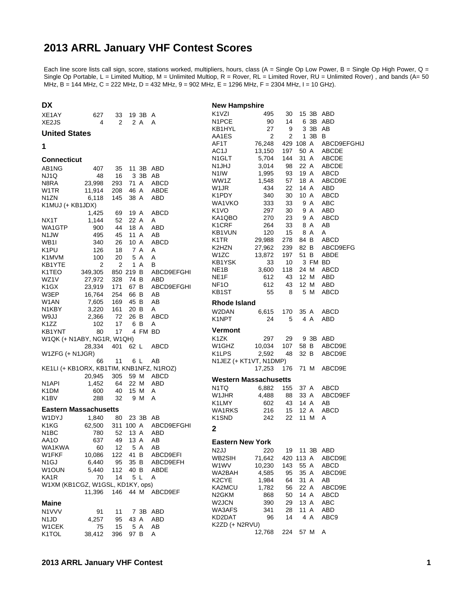## **2013 ARRL January VHF Contest Scores**

Each line score lists call sign, score, stations worked, multipliers, hours, class (A = Single Op Low Power, B = Single Op High Power, Q = Single Op Portable, L = Limited Multiop, M = Unlimited Multiop, R = Rover, RL = Limited Rover, RU = Unlimited Rover) , and bands (A= 50 MHz, B = 144 MHz, C = 222 MHz, D = 432 MHz, 9 = 902 MHz, E = 1296 MHz, F = 2304 MHz, I = 10 GHz).

| <b>DX</b>                                |                  |                |                 |                   | <b>New Hampshire</b>           |                  |                |              |         |                         |
|------------------------------------------|------------------|----------------|-----------------|-------------------|--------------------------------|------------------|----------------|--------------|---------|-------------------------|
| XE1AY                                    | 627              | 33             | 19 3B A         |                   | K <sub>1</sub> V <sub>ZI</sub> | 495              | 30             |              |         | 15 3B ABD               |
| XE <sub>2</sub> J <sub>S</sub>           | 4                | $\overline{2}$ | 2 A             | A                 | N1PCE                          | 90               | 14             |              |         | 6 3B ABD                |
| <b>United States</b>                     |                  |                |                 |                   | KB1HYL                         | 27               | 9              |              | 3 3B AB |                         |
|                                          |                  |                |                 |                   | AA1ES                          | 2                | $\overline{2}$ |              | 1 3B B  |                         |
| 1                                        |                  |                |                 |                   | AF1T                           | 76,248           |                | 429 108 A    |         | ABCD9EFGHIJ             |
|                                          |                  |                |                 |                   | AC1J<br>N <sub>1</sub> GLT     | 13,150<br>5,704  | 197<br>144     | 50 A<br>31 A |         | ABCDE<br><b>ABCDE</b>   |
| <b>Connecticut</b>                       |                  |                |                 |                   | N1JHJ                          | 3,014            | 98             | 22 A         |         | ABCDE                   |
| AB1NG                                    | 407              | 35             | 11 3B ABD       |                   | N1IW                           | 1,995            | 93             | 19 A         |         | ABCD                    |
| NJ1Q<br>N8RA                             | 48               | 16<br>293      | 3 3B AB<br>71 A | ABCD              | WW1Z                           | 1,548            | 57             | 18 A         |         | ABCD9E                  |
| W1TR                                     | 23,998<br>11,914 | 208            | 46 A            | ABDE              | W <sub>1</sub> JR              | 434              | 22             | 14 A         |         | ABD                     |
| N <sub>1</sub> ZN                        | 6,118            | 145            | 38 A            | ABD               | K1PDY                          | 340              | 30             | 10 A         |         | ABCD                    |
| K1MUJ (+ KB1JDX)                         |                  |                |                 |                   | WA1VKO                         | 333              | 33             |              | 9 A     | ABC                     |
|                                          | 1,425            | 69             | 19 A            | ABCD              | K <sub>1</sub> VO              | 297              | 30             |              | 9 A     | ABD                     |
| NX1T                                     | 1,144            | 52             | 22 A            | A                 | KA1QBO                         | 270              | 23             |              | 9 A     | ABCD                    |
| WA1GTP                                   | 900              | 44             | 18 A            | ABD               | K <sub>1</sub> CRF             | 264              | 33             |              | 8 A     | AB                      |
| N <sub>1</sub> JW                        | 495              | 45             | 11 A            | AB                | KB1VUN                         | 120              | 15             |              | 8 A     | A                       |
| WB <sub>1</sub>                          | 340              | 26             | 10 A            | ABCD              | K1TR                           | 29,988           | 278            | 84 B         |         | ABCD                    |
| K <sub>1</sub> PU                        | 126              | 18             | 7 A             | A                 | K2HZN<br>W <sub>1</sub> ZC     | 27,962<br>13,872 | 239<br>197     | 82 B<br>51 B |         | ABCD9EFG<br><b>ABDE</b> |
| K <sub>1</sub> M <sub>V</sub> M          | 100              | 20             | 5 A             | A                 | KB1YSK                         | 33               | 10             |              | 3 FM BD |                         |
| KB1YTE                                   | 2                | 2              | 1 A             | B                 | NE <sub>1</sub> B              | 3,600            | 118            | 24 M         |         | <b>ABCD</b>             |
| K <sub>1</sub> TEO                       | 349,305          |                | 850 219 B       | ABCD9EFGHI        | NE1F                           | 612              | 43             | 12 M         |         | ABD                     |
| WZ1V<br>K <sub>1</sub> GX                | 27,972<br>23,919 | 328<br>171     | 74 B<br>67 B    | ABD<br>ABCD9EFGHI | NF <sub>10</sub>               | 612              | 43             | 12 M         |         | ABD                     |
| W3EP                                     | 16,764           | 254            | 66 B            | AB                | KB1ST                          | 55               | 8              |              | 5 M     | <b>ABCD</b>             |
| W1AN                                     | 7,605            | 169            | 45 B            | AB                | <b>Rhode Island</b>            |                  |                |              |         |                         |
| N1KBY                                    | 3,220            | 161            | 20 B            | A                 |                                |                  |                |              |         |                         |
| W9JJ                                     | 2,366            | 72             | 26 B            | ABCD              | W2DAN<br>K1NPT                 | 6,615<br>24      | 170<br>5       | 35 A         | 4 A     | ABCD<br>ABD             |
| K <sub>1</sub> ZZ                        | 102              | 17             | 6 B             | A                 |                                |                  |                |              |         |                         |
| KB1YNT                                   | 80               | 17             | 4 FM BD         |                   | <b>Vermont</b>                 |                  |                |              |         |                         |
| W1QK (+ N1ABY, NG1R, W1QH)               |                  |                |                 |                   | K1ZK                           | 297              | 29             |              |         | 9 3B ABD                |
|                                          | 28,334           | 401            | 62 L            | ABCD              | W1GHZ                          | 10,034           | 107            | 58 B         |         | ABCD9E                  |
| W1ZFG (+ N1JGR)                          |                  |                |                 |                   | K <sub>1</sub> LPS             | 2,592            | 48             | 32 B         |         | ABCD9E                  |
|                                          | 66               | 11             | 6 L             | AB                | N1JEZ (+ KT1VT, N1DMP)         |                  |                |              |         |                         |
| KE1LI (+ KB1ORX, KB1TIM, KNB1NFZ, N1ROZ) | 20,945           | 305            | 59 M            | ABCD              |                                | 17,253           | 176            | 71 M         |         | ABCD9E                  |
| N <sub>1</sub> API                       | 1,452            | 64             | 22 M            | ABD               | <b>Western Massachusetts</b>   |                  |                |              |         |                         |
| K <sub>1</sub> DM                        | 600              | 40             | 15 M            | A                 | N1TQ                           | 6,882            | 155            | 37 A         |         | ABCD                    |
| K <sub>1</sub> BV                        | 288              | 32             | 9 M             | A                 | W1JHR                          | 4,488            | 88             | 33 A         |         | ABCD9EF                 |
|                                          |                  |                |                 |                   | K1LMY                          | 602              | 43             | 14 A         |         | AB                      |
| <b>Eastern Massachusetts</b>             |                  |                |                 |                   | WA1RKS                         | 216              | 15             | 12 A         |         | ABCD                    |
| W <sub>1</sub> DYJ                       | 1,840            | 80             | 23 3B AB        |                   | K <sub>1</sub> SN <sub>D</sub> | 242              | 22             | 11 M         |         | A                       |
| K <sub>1</sub> K <sub>G</sub>            | 62,500           |                | 311 100 A       | ABCD9EFGHI        | $\mathbf{2}$                   |                  |                |              |         |                         |
| N <sub>1</sub> BC                        | 780<br>637       | 52<br>49       | 13 A<br>13 A    | ABD<br>AB         |                                |                  |                |              |         |                         |
| AA1O<br>WA1KWA                           | 60               | 12             | 5 A             | AВ                | <b>Eastern New York</b>        |                  |                |              |         |                         |
| W1FKF                                    | 10,086           | 122            | 41 B            | ABCD9EFI          | N <sub>2</sub> JJ              | 220              | 19             |              |         | 11 3B ABD               |
| N <sub>1</sub> GJ                        | 6,440            | 95             | 35 B            | ABCD9EFH          | WB2SIH                         | 71,642           |                | 420 113 A    |         | ABCD9E                  |
| W1OUN                                    | 5,440            | 112            | 40 B            | ABDE              | W1WV                           | 10,230           | 143            | 55 A<br>35 A |         | <b>ABCD</b>             |
| KA1R                                     | 70               | 14             | 5L              | Α                 | WA2BAH<br>K <sub>2</sub> CYE   | 4,585            | 95<br>64       | 31 A         |         | ABCD9E                  |
| W1XM (KB1CGZ, W1GSL, KD1KY, ops)         |                  |                |                 |                   | KA2MCU                         | 1,984<br>1,782   | 56             | 22 A         |         | AВ<br>ABCD9E            |
|                                          | 11,396           | 146            |                 | 44 M ABCD9EF      | N <sub>2</sub> GKM             | 868              | 50             | 14 A         |         | ABCD                    |
| <b>Maine</b>                             |                  |                |                 |                   | W2JCN                          | 390              | 29             | 13 A         |         | ABC                     |
| N1VVV                                    | 91               | 11             |                 | 7 3B ABD          | WA3AFS                         | 341              | 28             | 11 A         |         | ABD                     |
| N <sub>1</sub> J <sub>D</sub>            | 4,257            | 95             | 43 A            | ABD               | KD2DAT                         | 96               | 14             |              | 4 A     | ABC9                    |
| W1CEK                                    | 75               | 15             | 5 A             | AB                | K2ZD (+ N2RVU)                 |                  |                |              |         |                         |
| K1TOL                                    | 38,412           | 396            | 97 B            | A                 |                                | 12,768           | 224            |              | 57 M    | A                       |
|                                          |                  |                |                 |                   |                                |                  |                |              |         |                         |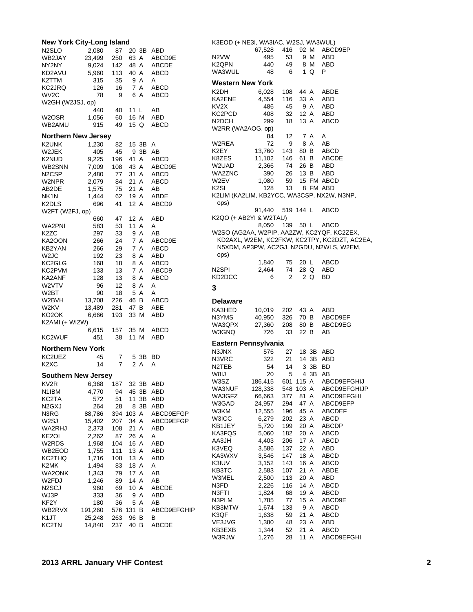| <b>New York City-Long Island</b> |           |     |      |       |              |
|----------------------------------|-----------|-----|------|-------|--------------|
| N <sub>2</sub> SLO               | 2,080     | 87  |      | 20 3B | ABD          |
| WB2JAY                           | 23,499    | 250 |      | 63 A  | ABCD9E       |
| NY2NY                            | 9,024     | 142 |      | 48 A  | <b>ABCDE</b> |
| KD2AVU                           | 5,960     | 113 | 40 A |       | ABCD         |
| K2TTM                            | 315       | 35  |      | 9 A   | Α            |
| KC2JRQ                           | 126       | 16  |      | 7 A   | ABCD         |
| WV2C                             | 78        | 9   |      | 6 A   | ABCD         |
| W2GH (W2JSJ, op)                 |           |     |      |       |              |
|                                  | 440       | 40  | 11 L |       | AВ           |
| W2OSR                            | 1,056     | 60  |      | 16 M  | ABD          |
| WB2AMU                           | 915       | 49  |      | 15 Q  | ABCD         |
| <b>Northern New Jersey</b>       |           |     |      |       |              |
| K2UNK                            | 1,230     | 82  |      | 15 3B | A            |
| W2JEK                            | 405       | 45  |      | 9 3B  | AB           |
| K2NUD                            | 9,225     | 196 |      | 41 A  | ABCD         |
| WB2SNN                           | 7,009     | 108 |      | 43 A  | ABCD9E       |
| N <sub>2</sub> CSP               | 2,480     | 77  |      | 31 A  | ABCD         |
| W2NPR                            | 2,079     | 84  |      | 21 A  | <b>ABCD</b>  |
| AB2DE                            | 1,575     | 75  | 21 A |       | AB           |
| NK1N                             | 1,444     | 62  |      | 19 A  | ABDE         |
| K2DLS                            | 696       | 41  | 12 A |       | ABCD9        |
| W2FT (W2FJ, op)                  |           |     |      |       |              |
|                                  | 660       | 47  | 12 A |       | ABD          |
| WA2PNI                           | 583       | 53  | 11 A |       | Α            |
| K2ZC                             | 297       | 33  |      | 9 A   | AB           |
| KA2OON                           | 266       | 24  |      | 7 A   | ABCD9E       |
| KB2YAN                           | 266       | 29  |      | 7 A   | ABCD         |
| W <sub>2J</sub> C                | 192       | 23  |      | 8 A   | ABD          |
| KC2GLG                           | 168       | 18  |      | 8 A   | ABCD         |
| KC2PVM                           | 133       | 13  |      | 7 A   | ABCD9        |
| KA2ANF                           | 128       | 13  |      | 8 A   | <b>ABCD</b>  |
| W2VTV                            | 96        | 12  |      | 8 A   | Α            |
| W2BT                             | 90        | 18  |      | 5 A   | A            |
| W2BVH                            | 13,708    | 226 | 46 B |       | ABCD         |
| W2KV                             | 13,489    | 281 | 47 B |       | ABE          |
| KO2OK                            | 6,666     | 193 | 33 M |       | ABD          |
| K2AMI (+ WI2W)                   |           |     |      |       |              |
|                                  | 6,615     | 157 | 35 M |       | ABCD         |
| KC2WUF                           | 451       | 38  | 11 M |       | ABD          |
| <b>Northern New York</b>         |           |     |      |       |              |
| KC2UEZ                           | 45        | 7   |      | 5 3B  | BD           |
| K <sub>2</sub> XC                | 14        | 7   |      | 2 A   | A            |
| <b>Southern New Jersey</b>       |           |     |      |       |              |
| KV2R                             | 6,368 187 |     |      | 32 3B | ABD          |
| N1IBM                            | 4,770     | 94  |      | 45 3B | ABD          |
| KC2TA                            | 572       | 51  | 11   | 3B    | ABD          |
| N <sub>2</sub> G <sub>X</sub> J  | 264       | 28  | 8    | 3B    | <b>ABD</b>   |
| N3RG                             | 88,786    | 394 | 103  | Α     | ABCD9EFGP    |
| W2SJ                             | 15,402    | 207 | 34   | Α     | ABCD9EFGP    |
| WA2RHJ                           | 2,373     | 108 | 21   | Α     | ABD          |
| KE2OI                            | 2,262     | 87  | 26 A |       | Α            |
| W2RDS                            | 1,968     | 104 | 16   | Α     | ABD          |
| WB2EOD                           | 1,755     | 111 | 13 A |       | ABD          |
| KC2THQ                           | 1,716     | 108 | 13 A |       | ABD          |
| K2MK                             | 1,494     | 83  | 18 A |       | Α            |
| WA2ONK                           | 1,343     | 79  | 17 A |       | AB           |
| W2FDJ                            | 1,246     | 89  | 14   | Α     | AB           |
| N <sub>2</sub> SCJ               | 960       | 69  | 10   | Α     | ABCDE        |
| WJ3P                             | 333       | 36  | 9    | Α     | ABD          |
| KF2Y                             | 180       | 36  | 5    | Α     | AΒ           |
| WB2RVX                           | 191,260   | 576 | 131  | в     | ABCD9EFGHIP  |
| K1JT                             | 25,248    | 263 | 96   | В     | В            |
| <b>KC2TN</b>                     | 14,840    | 237 | 40 B |       | <b>ABCDE</b> |

| K3EOD (+ NE3I, WA3IAC, W2SJ, WA3WUL)    |                       |                |              |      |                                                        |
|-----------------------------------------|-----------------------|----------------|--------------|------|--------------------------------------------------------|
|                                         | 67,528 416            |                |              | 92 M | ABCD9EP                                                |
| N <sub>2</sub> VW<br>K2OPN              | 495<br>440            | 53<br>49       |              | 9 M  | ABD                                                    |
| WA3WUL                                  | 48                    | 6              |              |      | 8 M ABD<br>1 Q P                                       |
| <b>Western New York</b>                 |                       |                |              |      |                                                        |
| K2DH                                    | 6,028                 | 108            | 44 A         |      | <b>ABDE</b>                                            |
| KA2ENE                                  | 4,554                 | 116            |              |      | 33 A ABD                                               |
| KV <sub>2</sub> X                       | 486                   | 45             |              | 9 A  | ABD                                                    |
| KC2PCD                                  | 408                   |                | 32 12 A      |      | ABD                                                    |
| N <sub>2</sub> DCH<br>W2RR (WA2AOG, op) | 299                   | 18             |              | 13 A | <b>ABCD</b>                                            |
|                                         | 84                    | 12             | 7 A          |      | <b>A</b>                                               |
| W2REA                                   | 72                    |                |              |      |                                                        |
| K2EY                                    | 13,760                |                |              |      | 9 8 A AB<br>143 80 B ABCD                              |
| K8ZES                                   | 11,102                |                |              |      | 146 61 B ABCDE                                         |
| W2UAD.                                  | 2,366                 | 74             | 26 B         |      | ABD                                                    |
| WA2ZNC                                  | 390                   |                |              |      | 26 13 B ABD                                            |
| W2EV                                    | 1,080                 | $rac{2}{59}$ i |              |      | 15 FM ABCD                                             |
| K <sub>2</sub> SI                       | 128                   | 13             |              |      | 8 FM ABD<br>K2LIM (KA2LIM, KB2YCC, WA3CSP, NX2W, N3NP, |
| ops)                                    |                       |                |              |      |                                                        |
|                                         | 91,440 519 144 L ABCD |                |              |      |                                                        |
| K2QO (+ AB2YI & W2TAU)                  |                       |                |              |      |                                                        |
|                                         | 8,050 139 50 L ABCD   |                |              |      | W2SO (AG2AA, W2PIP, AA2ZW, KC2YQF, KC2ZEX,             |
|                                         |                       |                |              |      | KD2AXL, W2EM, KC2FKW, KC2TPY, KC2DZT, AC2EA,           |
|                                         |                       |                |              |      | N5XDM, AP3PW, AC2GJ, N2GDU, N2WLS, W2EM,               |
| ops)                                    |                       |                |              |      |                                                        |
|                                         | 1,840                 | 75             |              | 20 L | ABCD                                                   |
| N <sub>2</sub> SPI                      | 2,464                 | 74             |              | 28 Q | ABD                                                    |
| KD2DCC                                  | 6                     | 2              |              | 2 Q  | BD                                                     |
| 3                                       |                       |                |              |      |                                                        |
| <b>Delaware</b>                         |                       |                |              |      |                                                        |
| KA3HED                                  | 10,019                | 202            | 43 A         |      | ABD                                                    |
| N3YMS                                   | 40,950                |                |              |      | 326 70 B ABCD9EF                                       |
| WA3QPX                                  | 27,360                |                |              |      | 208 80 B ABCD9EG                                       |
| W3GNQ                                   | 726                   | 33             | 22 B         |      | AB                                                     |
| Eastern Pennsylvania                    |                       |                |              |      |                                                        |
| N3JNX<br>N3VRC                          | 576<br>322            | 27<br>21       |              |      | 18 3B ABD<br>14 3B ABD                                 |
| N2TEB                                   | 54                    | 14             |              | 3 3B | <b>BD</b>                                              |
| W8IJ                                    | 20                    | 5              |              | 4 3B | AB                                                     |
| W3SZ                                    |                       |                |              |      | 186.415 601 115 A ABCD9EFGHIJ                          |
| WA3NUF                                  | 128,338               | 548            | 103 A        |      | ABCD9EFGHIJP                                           |
| WA3GFZ                                  | 66,663                | 377            | 81           | Α    | ABCD9EFGHI                                             |
| W3GAD                                   | 24,957                | 294            | 47 A         |      | ABCD9EFP                                               |
| W3KM                                    | 12,555                | 196            | 45 A         |      | <b>ABCDEF</b>                                          |
| W3ICC<br>KB1JEY                         | 6,279<br>5,720        | 202<br>199     | 23 A<br>20 A |      | ABCD<br>ABCDP                                          |
| KA3FQS                                  | 5,060                 | 182            | 20 A         |      | ABCD                                                   |
| AA3JH                                   | 4,403                 | 206            | 17 A         |      | ABCD                                                   |
| K3VEQ                                   | 3,586                 | 137            | 22 A         |      | ABD                                                    |
| KA3WXV                                  | 3,546                 | 147            | 18 A         |      | ABCD                                                   |
| K3IUV                                   | 3,152                 | 143            | 16 A         |      | ABCD                                                   |
| КВЗТС                                   | 2,583                 | 107            | 21           | Α    | ABDE                                                   |
| W3MEL<br>N3FD                           | 2,500<br>2,226        | 113<br>116     | 20 A<br>14 A |      | ABD<br><b>ABCD</b>                                     |
| N3FTI                                   | 1,824                 | 68             | 19 A         |      | ABCD                                                   |
| N3PLM                                   | 1,785                 | 77             | 15 A         |      | ABCD9E                                                 |
| KB3MTW                                  | 1,674                 | 133            |              | 9 A  | ABCD                                                   |
| K3QF                                    | 1,638                 | 59             | 21           | Α    | ABCD                                                   |
| VE3JVG                                  | 1,380                 | 48             | 23 A         |      | ABD                                                    |
| KB3EXB<br>W3RJW                         | 1,344                 | 52             | 21           | Α    | ABCD                                                   |
|                                         | 1,276                 | 28             | 11           | A    | ABCD9EFGHI                                             |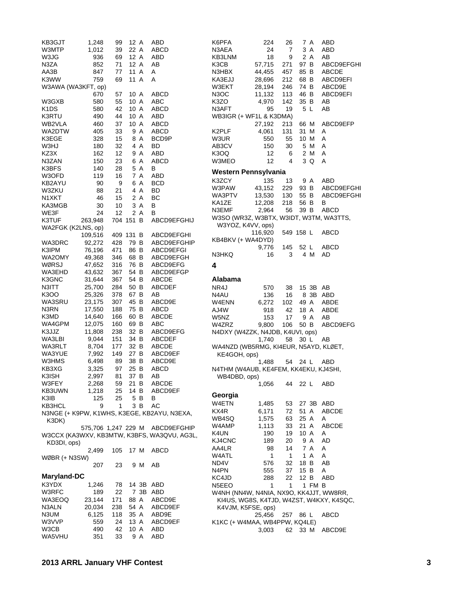| KB3GJT             | 1,248   | 99  | 12 A      |       | ABD                                         |
|--------------------|---------|-----|-----------|-------|---------------------------------------------|
| W3MTP              | 1,012   | 39  |           | 22 A  | ABCD                                        |
| W3JG               | 936     | 69  |           | 12 A  | <b>ABD</b>                                  |
| N3ZA               | 852     | 71  | 12 A      |       | AB                                          |
| AA3B               | 847     | 77  | 11 A      |       | Α                                           |
| K3WW               | 759     | 69  | 11 A      |       | Α                                           |
| W3AWA (WA3KFT, op) |         |     |           |       |                                             |
|                    | 670     | 57  | 10 A      |       | <b>ABCD</b>                                 |
| W3GXB              | 580     | 55  | 10 A      |       | ABC                                         |
| K1DS               | 580     | 42  | 10 A      |       | ABCD                                        |
| K3RTU              | 490     | 44  | 10 A      |       | ABD                                         |
| WB2VLA             | 460     | 37  | 10 A      |       | ABCD                                        |
| WA2DTW             | 405     | 33  |           | 9 A   | ABCD                                        |
| K3EGE              | 328     | 15  |           | 8 A   | BCD9P                                       |
| W3HJ               | 180     | 32  |           | 4 A   | <b>BD</b>                                   |
| KZ3X               | 162     | 12  |           | 9 A   | ABD                                         |
| N3ZAN              | 150     | 23  |           | 6 A   | ABCD                                        |
| K3BFS              | 140     | 28  |           | 5 A   | в                                           |
| W3OFD              | 119     | 16  |           | 7 A   | ABD                                         |
| KB2AYU             | 90      | 9   |           | 6 A   | <b>BCD</b>                                  |
| W3ZKU              | 88      | 21  |           | 4 A   | BD                                          |
| N1XKT              | 46      | 15  |           | 2 A   | ВC                                          |
| KA3MGB             | 30      | 10  |           | 3 A   | в                                           |
| WE3F               | 24      | 12  |           | 2 A   | в                                           |
| K3TUF              | 263,948 |     | 704 151 B |       | ABCD9EFGHIJ                                 |
| WA2FGK (K2LNS, op) |         |     |           |       |                                             |
|                    | 109,516 |     | 409 131 B |       | ABCD9EFGHI                                  |
| WA3DRC             | 92,272  | 428 |           | 79 B  | ABCD9EFGHIP                                 |
| K3IPM              | 76,196  | 471 |           | 86 B  | ABCD9EFGI                                   |
| WA2OMY             | 49,368  | 346 |           | 68 B  | ABCD9EFGH                                   |
| WØRSJ              | 47,652  | 316 |           | 76 B  | ABCD9EFG                                    |
| WA3EHD             | 43,632  | 367 |           | 54 B  | ABCD9EFGP                                   |
| K3GNC              | 31,644  | 367 | 54 B      |       | ABCDE                                       |
| N3ITT              | 25,700  | 284 | 50 B      |       | <b>ABCDEF</b>                               |
| K3OO               | 25,326  | 378 | 67 B      |       | AB                                          |
| WA3SRU             | 23,175  | 307 | 45 B      |       | ABCD9E                                      |
| N3RN               | 17,550  | 188 | 75 B      |       | ABCD                                        |
| K3MD               | 14,640  | 166 | 60 B      |       | <b>ABCDE</b>                                |
| WA4GPM             | 12,075  | 160 | 69 B      |       | ABC                                         |
| K3JJZ              | 11,808  | 238 | 32 B      |       | ABCD9EFG                                    |
| WA3LBI             | 9,044   | 151 | 34 B      |       | <b>ABCDEF</b>                               |
| WA3RLT             | 8,704   | 177 |           | 32 B  | ABCDE                                       |
| WA3YUE             | 7,992   | 149 | 27 B      |       | ABCD9EF                                     |
| W3HMS              | 6,498   | 89  | 38 B      |       | ABCD9E                                      |
| KB3XG              | 3,325   | 97  | 25 B      |       | ABCD                                        |
| K3ISH              | 2,997   | 81  | 37 B      |       | AВ                                          |
| W3FEY              | 2,268   | 59  |           | 21 B  | <b>ABCDE</b>                                |
| KB3UWN             | 1,218   | 25  | 14 B      |       | ABCD9EF                                     |
| K3IB               | 125     | 25  |           | 5 B   | в                                           |
| KB3HCL             | 9       | 1   |           | 3 B   | AC                                          |
|                    |         |     |           |       | N3NGE (+ K9PW, K1WHS, K3EGE, KB2AYU, N3EXA, |
| K3DK)              |         |     |           |       |                                             |
|                    |         |     |           |       | 575,706 1,247 229 M ABCD9EFGHIP             |
|                    |         |     |           |       | W3CCX (KA3WXV, KB3MTW, K3BFS, WA3QVU, AG3L, |
| KD3DI, ops)        |         |     |           |       |                                             |
|                    | 2,499   | 105 | 17 M      |       | ABCD                                        |
| WØBR (+ N3SW)      |         |     |           |       |                                             |
|                    | 207     | 23  |           | 9 M   | AB                                          |
|                    |         |     |           |       |                                             |
| <b>Maryland-DC</b> |         |     |           |       |                                             |
| K3YDX              | 1,246   | 78  |           | 14 3B | ABD                                         |
| W3RFC              | 189     | 22  |           | 7 3B  | ABD                                         |
| WA3EOQ             | 23,144  | 171 |           | 88 A  | ABCD9E                                      |
| N3ALN              | 20,034  | 238 |           | 54 A  | ABCD9EF                                     |
| N3UM               | 6,125   | 118 |           | 35 A  | ABD9E                                       |
| W3VVP              | 559     | 24  |           | 13 A  | ABCD9EF                                     |
| W3CB               | 490     | 42  | 10 A      |       | ABD                                         |
| WA5VHU             | 351     | 33  |           | 9 A   | ABD                                         |

| K6PFA                                   | 224     | 26  | 7 A         | ABD                                      |
|-----------------------------------------|---------|-----|-------------|------------------------------------------|
| N3AEA                                   | 24      | 7   | 3 A         | ABD                                      |
| KB3LNM                                  | 18      | 9   | 2 A         | AВ                                       |
| K3CB                                    | 57,715  | 271 | 97 B        | ABCD9EFGHI                               |
| N3HBX                                   | 44,455  | 457 | 85 B        | <b>ABCDE</b>                             |
| KA3EJJ                                  | 28,696  | 212 | 68 B        | ABCD9EFI                                 |
| W3EKT                                   | 28,194  |     | 246 74 B    | ABCD9E                                   |
|                                         | 11,132  | 113 | 46 B        | ABCD9EFI                                 |
| N3OC                                    |         |     |             |                                          |
| K3ZO                                    | 4,970   | 142 | 35 B        | AB                                       |
| N3AFT                                   | 95      | 19  | 5 L         | AВ                                       |
| WB3IGR (+ WF1L & K3DMA)                 |         |     |             |                                          |
|                                         | 27,192  |     | 213 66 M    | ABCD9EFP                                 |
| K2PLF                                   | 4,061   | 131 | 31 M        | Α                                        |
| W3UR                                    | 550     | 55  | 10 M        | Α                                        |
| AB3CV                                   | 150     | 30  | 5 M         | A                                        |
| K3OQ                                    | 12      | 6   | 2 M         | A                                        |
| W3MEO                                   | 12      | 4   | 3 Q         | A                                        |
|                                         |         |     |             |                                          |
| Western Pennsylvania                    |         |     |             |                                          |
| K3ZCY                                   | 135     | 13  | 9 A         | ABD                                      |
| W3PAW                                   | 43,152  |     | 229 93 B    | ABCD9EFGHI                               |
| WA3PTV                                  | 13,530  | 130 | 55 B        | ABCD9EFGHI                               |
| KA1ZE                                   | 12,208  | 218 | 56 B        | В                                        |
| N3EMF                                   | 2,964   | 56  | 39 B        | <b>ABCD</b>                              |
| W3SO (WR3Z, W3BTX, W3IDT, W3TM, WA3TTS, |         |     |             |                                          |
| W3YOZ, K4VV, ops)                       |         |     |             |                                          |
|                                         | 116,920 |     | 549 158 L   | ABCD                                     |
| KB4BKV (+ WA4DYD)                       |         |     |             |                                          |
|                                         | 9,776   | 145 | 52 L        | ABCD                                     |
| N3HKQ                                   | 16      | 3   | 4 M         | AD                                       |
|                                         |         |     |             |                                          |
| 4                                       |         |     |             |                                          |
| Alabama                                 |         |     |             |                                          |
|                                         |         |     |             |                                          |
| NR4J                                    | 570     | 38  | 15 3B       | AB                                       |
| N4AU                                    | 136     | 16  | 8 3B        | ABD                                      |
| W4ENN                                   | 6,272   | 102 | 49 A        | ABDE                                     |
| AJ4W                                    | 918     | 42  | 18 A        | ABDE                                     |
| W5NZ                                    | 153     | 17  | 9 A         | AB                                       |
| W4ZRZ                                   | 9,800   | 106 | 50 B        | ABCD9EFG                                 |
| N4DXY (W4ZZK, N4JDB, K4UVI, ops)        |         |     |             |                                          |
|                                         | 1,740   | 58  | 30 L        | AB                                       |
| WA4NZD (WB5RMG, KI4EUR, N5AYD, KLØET,   |         |     |             |                                          |
| KE4GOH, ops)                            |         |     |             |                                          |
|                                         | 1.488   | 54  | 24 L        | ABD                                      |
| N4THM (W4AUB, KE4FEM, KK4EKU, KJ4SHI,   |         |     |             |                                          |
| WB4DBD, ops)                            |         |     |             |                                          |
|                                         | 1,056   |     | 44 22 L ABD |                                          |
|                                         |         |     |             |                                          |
| Georgia                                 |         |     |             |                                          |
| W4ETN                                   | 1,485   | 53  | 27 3B       | ABD                                      |
| KX4R                                    | 6,171   | 72  | 51 A        | <b>ABCDE</b>                             |
| WB4SQ                                   | 1,575   | 63  | 25 A        | A                                        |
| W4AMP                                   | 1,113   | 33  | 21 A        | <b>ABCDE</b>                             |
| K4UN                                    | 190     | 19  | 10 A        | Α                                        |
| KJ4CNC                                  | 189     | 20  | 9 A         | AD                                       |
| AA4LR                                   | 98      | 14  | 7 A         | Α                                        |
|                                         |         |     | A           |                                          |
| W4ATL                                   | 1       | 1   | 1.          | Α                                        |
| ND4V                                    | 576     | 32  | 18 B        | AB                                       |
| N4PN                                    | 555     | 37  | 15 B        | Α                                        |
| KC4JD                                   | 288     | 22  | 12 B        | ABD                                      |
| N5EEO                                   | 1       | 1   | 1 FM B      |                                          |
| W4NH (NN4W, N4NIA, NX9O, KK4JJT, WW8RR, |         |     |             |                                          |
|                                         |         |     |             | KI4US, WG8S, K4TJD, W4ZST, W4KXY, K4SQC, |
| K4VJM, K5FSE, ops)                      |         |     |             |                                          |
|                                         | 25,456  | 257 | 86 L        | <b>ABCD</b>                              |
| K1KC (+ W4MAA, WB4PPW, KQ4LE)           |         |     |             |                                          |
|                                         | 3,003   | 62  | 33 M        | ABCD9E                                   |
|                                         |         |     |             |                                          |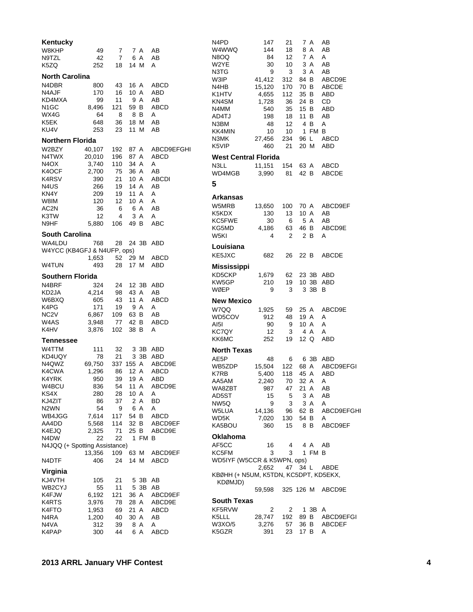| Kentucky<br>W8KHP<br>N9TZL                                                               | 49<br>42                                                                            | 7<br>7                                                           |                                                                    | 7 A<br>6 A      | AВ<br>AB                                                                        |
|------------------------------------------------------------------------------------------|-------------------------------------------------------------------------------------|------------------------------------------------------------------|--------------------------------------------------------------------|-----------------|---------------------------------------------------------------------------------|
| K5ZQ                                                                                     | 252                                                                                 | 18                                                               | 14 M                                                               |                 | A                                                                               |
| <b>North Carolina</b><br>N4DBR<br>N4AJF<br>KD4MXA<br>N1GC<br>WX4G<br>K5EK<br>KU4V        | 800<br>170<br>99<br>8,496<br>64<br>648<br>253                                       | 43<br>16<br>11<br>121<br>8<br>36<br>23                           | 16 A<br>10 A<br>59 B<br>18 M<br>11                                 | 9 A<br>8 B<br>M | ABCD<br>ABD<br>AB<br>ABCD<br>A<br>AB<br>AВ                                      |
| <b>Northern Florida</b>                                                                  |                                                                                     |                                                                  |                                                                    |                 |                                                                                 |
| W2BZY<br>N4TWX<br>N4OX<br>K4OCF<br>K4RSV<br>N4US<br>KN4Y<br>W8IM<br>AC2N<br>K3TW<br>N9HF | 40,107<br>20,010<br>3,740<br>2,700<br>390<br>266<br>209<br>120<br>36<br>12<br>5.880 | 192<br>196<br>110<br>75<br>21<br>19<br>19<br>12<br>6<br>4<br>106 | 87 A<br>87 A<br>34 A<br>36 A<br>10 A<br>14 A<br>11<br>10 A<br>49 B | A<br>6 A<br>3 A | ABCD9EFGHI<br>ABCD<br>Α<br>AB<br><b>ABCDI</b><br>AB<br>Α<br>A<br>AB<br>A<br>ABC |
| <b>South Carolina</b>                                                                    |                                                                                     |                                                                  |                                                                    |                 |                                                                                 |
| WA4LDU                                                                                   | 768                                                                                 | 28                                                               |                                                                    | 24 3B           | ABD                                                                             |
| W4YCC (KB4GFJ & N4UFP, ops)                                                              | 1,653                                                                               | 52                                                               | 29 M                                                               |                 | ABCD                                                                            |
| <b>W4TUN</b>                                                                             | 493                                                                                 | 28                                                               | 17 M                                                               |                 | ABD                                                                             |
| <b>Southern Florida</b>                                                                  |                                                                                     |                                                                  |                                                                    |                 |                                                                                 |
| N4BRF                                                                                    | 324                                                                                 | 24                                                               |                                                                    | 12 3B           | ABD                                                                             |
| KD2JA                                                                                    | 4,214                                                                               | 98                                                               | 43 A                                                               |                 | AB                                                                              |
| W6BXQ<br>K4PG                                                                            | 605<br>171                                                                          | 43<br>19                                                         | 11 A                                                               | 9 A             | ABCD<br>Α                                                                       |
| NC <sub>2</sub> V                                                                        | 6,867                                                                               | 109                                                              | 63 B                                                               |                 | AВ                                                                              |
| W4AS                                                                                     | 3,948                                                                               | 77                                                               | 42 B                                                               |                 | ABCD                                                                            |
| K4HV                                                                                     | 3,876                                                                               | 102                                                              | 38 B                                                               |                 | A                                                                               |
| Tennessee                                                                                |                                                                                     |                                                                  |                                                                    |                 |                                                                                 |
| W4TTM                                                                                    | 111                                                                                 | 32                                                               |                                                                    | 3 3B            | ABD                                                                             |
| KD4UQY                                                                                   | 78                                                                                  | 21                                                               |                                                                    | 3 3B            | ABD                                                                             |
| N4QWZ                                                                                    | 69,750                                                                              | 337                                                              | 155 A                                                              |                 | ABCD9E                                                                          |
| K4CWA                                                                                    | 1,296                                                                               | 86                                                               | 12 A                                                               |                 | <b>ABCD</b>                                                                     |
| K4YRK                                                                                    | 950                                                                                 | 39                                                               | 19 A                                                               |                 | ABD                                                                             |
| W4BCU<br>KS4X                                                                            | 836                                                                                 | 54                                                               | 11<br>10 A                                                         | Α               | ABCD9E<br>Α                                                                     |
| KJ4ZIT                                                                                   | 280<br>86                                                                           | 28<br>37                                                         | $\overline{2}$                                                     | Α               | BD                                                                              |
| N2WN                                                                                     | 54                                                                                  | 9                                                                |                                                                    | 6 A             | Α                                                                               |
| WB4JGG                                                                                   | 7,614                                                                               | 117                                                              | 54 B                                                               |                 | ABCD                                                                            |
| AA4DD                                                                                    | 5,568                                                                               | 114                                                              | 32 B                                                               |                 | ABCD9EF                                                                         |
| K4EJQ                                                                                    | 2,325                                                                               | 71                                                               | 25 B                                                               |                 | ABCD9E                                                                          |
| N4DW                                                                                     | 22                                                                                  | 22                                                               | 1.                                                                 | FM              | в                                                                               |
| N4JQQ (+ Spotting Assistance)                                                            | 13,356                                                                              | 109                                                              | 63 M                                                               |                 | ABCD9EF                                                                         |
| N4DTF                                                                                    | 406                                                                                 | 24                                                               | 14 M                                                               |                 | ABCD                                                                            |
| Virginia                                                                                 |                                                                                     |                                                                  |                                                                    |                 |                                                                                 |
| KJ4VTH                                                                                   | 105                                                                                 | 21                                                               |                                                                    | 5 3B            | AΒ                                                                              |
| WB2CYJ                                                                                   | 55                                                                                  | 11                                                               |                                                                    | 5 3B            | AВ                                                                              |
| K4FJW<br>K4RTS                                                                           | 6,192<br>3,976                                                                      | 121<br>78                                                        | 36 A<br>28                                                         | Α               | ABCD9EF<br>ABCD9E                                                               |
| K4FTO                                                                                    | 1,953                                                                               | 69                                                               | 21                                                                 | A               | ABCD                                                                            |
| N4RA                                                                                     | 1,200                                                                               | 40                                                               | 30 A                                                               |                 | AΒ                                                                              |
| N4VA                                                                                     | 312                                                                                 | 39                                                               |                                                                    | 8 A             | Α                                                                               |
| K4PAP                                                                                    | 300                                                                                 | 44                                                               | 6                                                                  | Α               | <b>ABCD</b>                                                                     |

| N4PD<br>W4WWQ<br>N8OQ<br>W2YE<br>N3TG<br>W3IP.<br>N4HB<br>K1HTV<br>KN4SM<br>N4MM<br>AD4TJ<br>N3BM<br>KK4MIN<br>N3MK<br>K5VIP | 147<br>144<br>84<br>30<br>9<br>41,412<br>15,120<br>4,655<br>1,728<br>540<br>198<br>48<br>10<br>27,456<br>460 | 21<br>18<br>12<br>10<br>3<br>312<br>170<br>112<br>36<br>35<br>18<br>12<br>10<br>234<br>21 | 84 B<br>70 B<br>35 B<br>24 B<br>15 B<br>11 B<br>$\mathbf{1}$<br>96 L<br>20 M | 7 A<br>8 A<br>7 A<br>3 A<br>3 A<br>4 B<br>FM B | AB<br>AΒ<br>A<br>AΒ<br>AВ<br>ABCD9E<br><b>ABCDE</b><br>ABD<br>CD<br>ABD<br>AB<br>Α<br>ABCD<br><b>ABD</b> |
|------------------------------------------------------------------------------------------------------------------------------|--------------------------------------------------------------------------------------------------------------|-------------------------------------------------------------------------------------------|------------------------------------------------------------------------------|------------------------------------------------|----------------------------------------------------------------------------------------------------------|
| <b>West Central Florida</b>                                                                                                  |                                                                                                              |                                                                                           |                                                                              |                                                |                                                                                                          |
| N3LL<br>WD4MGB                                                                                                               | 11,151<br>3,990                                                                                              | 154<br>81                                                                                 | 63 A<br>42 B                                                                 |                                                | ABCD<br><b>ABCDE</b>                                                                                     |
| 5                                                                                                                            |                                                                                                              |                                                                                           |                                                                              |                                                |                                                                                                          |
| Arkansas<br>W5MRB<br>K5KDX<br>KC5FWE<br>KG5MD<br>W5KI                                                                        | 13,650<br>130<br>30<br>4,186<br>4                                                                            | 100<br>13<br>6<br>63<br>2                                                                 | 70 A<br>10 A<br>46 B                                                         | 5 A<br>2 B                                     | ABCD9EF<br>AВ<br>AB<br>ABCD9E<br>A                                                                       |
| Louisiana<br>KE5JXC                                                                                                          | 682                                                                                                          | 26                                                                                        | 22 B                                                                         |                                                | <b>ABCDE</b>                                                                                             |
| Mississippi<br>KD5CKP<br>KW5GP<br>WØEP                                                                                       | 1,679<br>210<br>9                                                                                            | 62<br>19<br>3                                                                             |                                                                              | 23 3B<br>10 3B<br>3 3B                         | ABD<br><b>ABD</b><br>В                                                                                   |
| <b>New Mexico</b><br>W7QQ<br>WD5COV<br>AI5I<br>KC7QY<br>KK6MC                                                                | 1,925<br>912<br>90<br>12<br>252                                                                              | 59<br>48<br>9<br>3<br>19                                                                  | 19 A<br>10 A<br>12 Q                                                         | 25 A<br>4 A                                    | ABCD9E<br>A<br>A<br>A<br>ABD                                                                             |
| <b>North Texas</b>                                                                                                           |                                                                                                              |                                                                                           |                                                                              |                                                |                                                                                                          |
| AE5P<br>WB5ZDP<br>K7RB<br>AA5AM<br>WA8ZBT<br>AD5ST<br>NW5Q<br>W5LUA<br>WD5K<br>KA5BOU                                        | 48<br>15,504<br>5,400<br>2,240<br>987<br>15<br>9<br>14,136<br>7,020<br>360                                   | 6<br>122<br>118<br>70<br>47<br>5<br>3<br>96<br>130<br>15                                  | 45 A<br>32 A<br>21 A<br>54 B                                                 | 6 3B<br>68 A<br>3 A<br>3 A<br>62 B<br>8 B      | ABD<br>ABCD9EFGI<br>ABD<br>Α<br>AB<br>AB<br>A<br>ABCD9EFGHI<br>A<br>ABCD9EF                              |
| Oklahoma<br>AF5CC<br>KC5FM<br>WD5IYF (W5CCR & K5WPN, ops)                                                                    | 16<br>3                                                                                                      | 4<br>3                                                                                    |                                                                              | 4 A<br>1 FM B                                  | AВ                                                                                                       |
| KBØHH (+ N5UM, K5TDN, KC5DPT, KD5EKX,<br>KDØMJD)                                                                             | 2,652                                                                                                        | 47                                                                                        | 34 L                                                                         |                                                | ABDE                                                                                                     |
|                                                                                                                              | 59,598                                                                                                       | 325 126 M                                                                                 |                                                                              |                                                | ABCD9E                                                                                                   |
| <b>South Texas</b>                                                                                                           |                                                                                                              |                                                                                           |                                                                              |                                                |                                                                                                          |
| KF5RVW<br>K5LLL<br>W3XO/5<br>K5GZR                                                                                           | 2<br>28,747<br>3,276<br>391                                                                                  | 2<br>192<br>57<br>23                                                                      | 36 B<br>17 B                                                                 | 1 3B<br>89 B                                   | A<br>ABCD9EFGI<br><b>ABCDEF</b><br>Α                                                                     |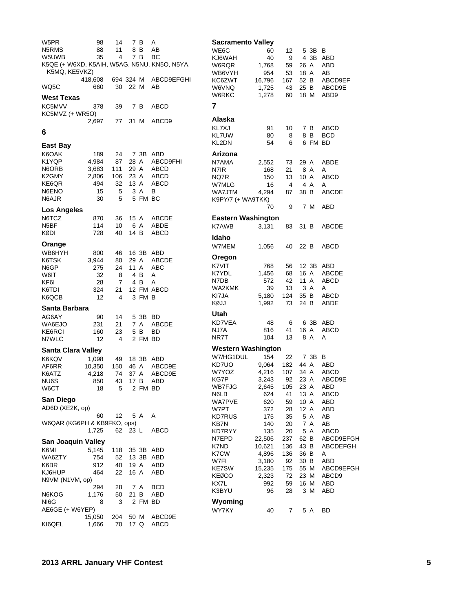| W5PR                        | 98                  | 14             |         | 7 B            | A                                            |
|-----------------------------|---------------------|----------------|---------|----------------|----------------------------------------------|
| N5RMS                       | 88                  | 11             |         | 8 B            | AB<br>BC                                     |
| W5UWB<br>K5MQ, KE5VKZ)      | 35                  | $\sim$ 4       |         | 7 B            | K5QE (+ W6XD, K5AIH, W5AG, N5NU, KN5O, N5YA, |
| WQ5C                        | 418,608<br>660      |                | 30 22 M |                | 694 324 M ABCD9EFGHI<br>AB                   |
| West Texas                  |                     |                |         |                |                                              |
| KC5MVV                      | 378                 | 39             |         | 7 B            | ABCD                                         |
| KC5MVZ (+ WR5O)             | 2,697               | 77             |         |                | 31 M ABCD9                                   |
| 6                           |                     |                |         |                |                                              |
| East Bay                    |                     |                |         |                |                                              |
| K6OAK                       | 189                 | 24             |         |                | 7 3B ABD                                     |
| K1YQP I                     | 4,984               |                |         |                | 87 28 A ABCD9FHI                             |
| N6ORB                       | 3,683               |                |         |                | 111 29 A ABCD                                |
| K2GMY                       | 2,806 106 23 A ABCD |                |         |                | 32 13 A ABCD                                 |
| KE6QR                       | 494                 |                |         |                |                                              |
| N6ENO<br>N6AJR              | 15<br>30            | 5<br>5         |         | 3 A<br>5 FM BC | В                                            |
| Los Angeles                 |                     |                |         |                |                                              |
| N6TCZ                       | 870                 | 36             |         | 15 A           | ABCDE                                        |
| N5BF                        | 114                 | 10             | 6 A     |                | ABDE                                         |
| KØDI                        | 728                 | 40             |         |                | 14 B ABCD                                    |
| Orange                      |                     |                |         |                |                                              |
| WB6HYH                      | 800                 |                |         |                | 46 16 3B ABD                                 |
| K6TSK                       | 3,944               | 80             |         |                |                                              |
| N6GP                        | 275                 | 24             |         |                | 29 A ABCDE<br>11 A ABC                       |
| W6IT                        | 32                  | 8              |         | 4 B            | Α                                            |
| KF6I                        | 28                  | $7^{\circ}$    |         | 4 B            | A                                            |
| K6TDI                       | 324                 |                |         |                | 21 12 FM ABCD                                |
| K6QCB                       | 12                  | 4              |         | 3 FM B         |                                              |
| Santa Barbara               |                     |                |         |                |                                              |
| AG6AY<br>WA6EJO             | 90                  | 14<br>21       |         | 5 3B<br>7 A    | BD<br>ABCDE                                  |
| KE6RCI                      | 231<br>160          | 23             |         | 5 B            | BD                                           |
| N7WLC                       | 12                  | 4              |         | 2 FM BD        |                                              |
| Santa Clara Valley          |                     |                |         |                |                                              |
| K6KQV                       | 1,098               | 49             |         | 18 3B          | ABD                                          |
| AF6RR                       | 10,350              | 150            |         | 46 A           | ABCD9E                                       |
| K6ATZ                       | 4,218               |                | 74 37 A |                | ABCD9E                                       |
| NU6S                        | 850                 | 43             | 17 B    |                | ABD                                          |
| W6CT                        | 18                  | 5              |         | 2 FM BD        |                                              |
| San Diego                   |                     |                |         |                |                                              |
| AD6D (XE2K, op)             |                     |                |         |                |                                              |
|                             | 60                  | 12             |         | 5 A            | - A                                          |
| W6QAR (KG6PH & KB9FKO, ops) | 1,725               | 62             | 23 L    |                | ABCD                                         |
|                             |                     |                |         |                |                                              |
| San Joaquin Valley          |                     |                |         |                |                                              |
| K6MI                        | 5,145               | 118            |         |                | 35 3B ABD                                    |
| WA6ZTY<br>K6BR              | 754<br>912          | 52<br>40       |         | 19 A           | 13 3B ABD<br>ABD                             |
| KJ6HUP                      | 464                 | 22             | 16 A    |                | ABD                                          |
| N9VM (N1VM, op)             |                     |                |         |                |                                              |
|                             | 294                 | 28             |         | 7 A            | BCD                                          |
| N6KOG                       | 1,176               | 50             | 21 B    |                | ABD                                          |
| NI6G                        | 8                   | 3              |         | 2 FM BD        |                                              |
| AE6GE (+ W6YEP)             |                     |                |         |                |                                              |
| KI6QEL                      | 15,050<br>1,666     | 204 50 M<br>70 |         | 17 Q           | ABCD9E<br>ABCD                               |
|                             |                     |                |         |                |                                              |

| <b>Sacramento Valley</b>  |                |           |                   |                   |
|---------------------------|----------------|-----------|-------------------|-------------------|
| WE6C                      | 60             | 12        | 5 3B              | в                 |
| KJ6WAH                    | 40             | 9         | 4 3B              | ABD               |
| W6RQR<br>WB6VYH           | 1,768<br>954   | 59        | 26 A<br>18 A      | ABD               |
| KC6ZWT                    | 16,796         | 53<br>167 | 52 B              | AB<br>ABCD9EF     |
| W6VNQ                     | 1,725          | 43        | 25 B              | ABCD9E            |
| W6RKC                     | 1,278          | 60        | 18 M              | ABD9              |
| 7                         |                |           |                   |                   |
| Alaska                    |                |           |                   |                   |
| KL7XJ                     | 91             | 10        | 7 B               | ABCD              |
| <b>KL7UW</b>              | 80             | 8         | 8 B               | <b>BCD</b>        |
| KL2DN                     | 54             | 6         | 6 FM              | BD                |
| Arizona                   |                |           |                   |                   |
| N7AMA                     | 2,552          | 73        | 29 A              | ABDE              |
| N7IR                      | 168            | 21        | 8 A               | A                 |
| NQ7R<br>W7MLG             | 150<br>16      | 13<br>4   | 10 A<br>4 A       | ABCD<br>A         |
| WA7JTM                    | 4,294          | 87        | 38 B              | <b>ABCDE</b>      |
| K9PY/7 (+ WA9TKK)         |                |           |                   |                   |
|                           | 70             | 9         | 7 M               | ABD               |
| <b>Eastern Washington</b> |                |           |                   |                   |
| <b>K7AWB</b>              | 3,131          | 83        | 31 B              | <b>ABCDE</b>      |
| Idaho                     |                |           |                   |                   |
| W7MEM                     | 1.056          | 40        | 22 B              | ABCD              |
| Oregon                    |                |           |                   |                   |
| K7VIT                     | 768            | 56        | 12 3B             | ABD               |
| K7YDL                     | 1,456          | 68        | 16 A              | <b>ABCDE</b>      |
| N7DB                      | 572            | 42        | 11 A              | ABCD              |
| WA2KMK                    | 39             | 13        | 3 A               | A                 |
| KI7JA<br>KØJJ             | 5,180<br>1,992 | 124<br>73 | 35 B<br>24 B      | ABCD<br>ABDE      |
| Utah                      |                |           |                   |                   |
| KD7VEA                    | 48             | 6         | 63B               | ABD               |
| NJ7A                      | 816            | 41        | 16 A              | <b>ABCD</b>       |
| NR7T                      | 104            | 13        | 8 A               | Α                 |
| <b>Western Washington</b> |                |           |                   |                   |
| W7/HG1DUL                 | 154            | 22        | 7 3B              | в                 |
| KD7UO                     | 9,064          | 182       | 44 A              | ABD               |
| W7YOZ                     | 4.216          | 107       | 34 A              | ABCD              |
| KG7P<br>WB7FJG            | 3,243<br>2,645 | 92<br>105 | 23 A<br>23 A      | ABCD9E<br>ABD     |
| N6LB                      | 624            | 41        | 13 A              | <b>ABCD</b>       |
| WA7PVE                    | 620            | 59        | 10 A              | ABD               |
| W7PT                      | 372            | 28        | 12 A              | ABD               |
| <b>KD7RUS</b>             | 175            | 35        | 5 A               | AB                |
| <b>KB7N</b>               | 140            | 20        | 7 A               | AB<br><b>ABCD</b> |
| KD7RYY<br>N7EPD           | 135<br>22,506  | 20<br>237 | 5 A<br>62 B       | ABCD9EFGH         |
| K7ND                      | 10,621         | 136       | 43 B              | ABCDEFGH          |
| K7CW                      | 4,896          | 136       | 36 B              | A                 |
| W7FI                      | 3,180          | 92        | 30 B              | <b>ABD</b>        |
| <b>KE7SW</b>              | 15,235         | 175       | 55 M              | ABCD9EFGH         |
| KEØCO                     | 2,323<br>992   | 72        | 23 M              | ABCD9             |
| KX7L<br>K3BYU             | 96             | 59<br>28  | 16<br>M<br>3<br>M | ABD<br>ABD        |
| Wyoming                   |                |           |                   |                   |
| WY7KY                     | 40             | 7         | 5 A               | BD                |
|                           |                |           |                   |                   |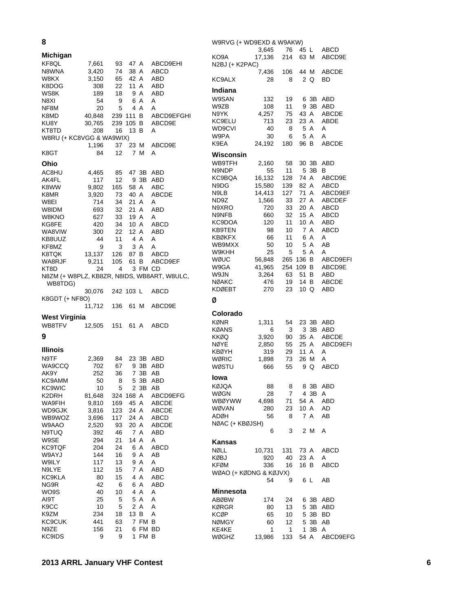| 8                        |              |          |                               |                                             |  |
|--------------------------|--------------|----------|-------------------------------|---------------------------------------------|--|
| Michigan                 |              |          |                               |                                             |  |
| KF8QL                    | 7,661        | 93       | 47 A                          | ABCD9EHI                                    |  |
| N8WNA                    | 3,420        | 74       | 38 A                          | ABCD                                        |  |
| W8KX                     | 3,150        | 65       | 42 A                          | ABD                                         |  |
| K8DOG                    | 308          | 22       | 11 A                          | ABD                                         |  |
| WS8K                     | 189          | 18       | 9 A                           | ABD                                         |  |
| N8XI                     | 54<br>20     | 9        | 6 A                           | A<br>A                                      |  |
| NF8M<br>K8MD             | 40,848       |          | 5  4  A<br>239  111  B        | ABCD9EFGHI                                  |  |
| KU8Y                     | 30,765       | 239      | 105 B                         | ABCD9E                                      |  |
| KT8TD                    | 208          | 16       | 13 B                          | A                                           |  |
| W8RU (+ KC8VGG & WA9WIX) |              |          |                               |                                             |  |
|                          | 1,196        | 37       | 23 M                          | ABCD9E                                      |  |
| K8GT                     | 84           | 12       | 7 M                           | Α                                           |  |
| Ohio                     |              |          |                               |                                             |  |
| AC8HU                    | 4,465        | 85       |                               | 47 3B ABD                                   |  |
| AK4FL                    | 117          | 12       | 9 3B                          | ABD                                         |  |
| K8WW                     | 9,802        | 165      | 58 A                          | ABC                                         |  |
| K8MR                     | 3,920        | 73       | 40 A                          | <b>ABCDE</b>                                |  |
| W8EI                     | 714          | 34       | 21 A                          | A                                           |  |
| W8IDM                    | 693          | 32       | 21 A                          | ABD                                         |  |
| W8KNO                    | 627          |          | 33 19 A                       | A                                           |  |
| KG8FE                    | 420          | 34       | 10 A                          | ABCD                                        |  |
| WA8VIW                   | 300          | 22       | 12 A                          | ABD                                         |  |
| KB8UUZ                   | 44           | 11       | 4 A<br>3 A                    | A<br>A                                      |  |
| KF8MZ<br>K8TQK           | 9<br>13,137  | 3<br>126 | 87 B                          | <b>ABCD</b>                                 |  |
| WA8RJF                   | 9,211        | 105      | 61 B                          | ABCD9EF                                     |  |
| KT8D                     | 24           | 4        |                               | 3 FM CD                                     |  |
|                          |              |          |                               | N8ZM (+ W8PLZ, KB8ZR, N8IDS, WB8ART, W8ULC, |  |
| WB8TDG)                  |              |          |                               |                                             |  |
|                          | 30,076       |          | 242 103 L                     | ABCD                                        |  |
| K8GDT (+ NF8O)           |              |          |                               |                                             |  |
|                          | 11,712       | 136      | 61 M                          | ABCD9E                                      |  |
| <b>West Virginia</b>     |              |          |                               |                                             |  |
| WB8TFV                   | 12,505       | 151      | 61 A                          | ABCD                                        |  |
| 9                        |              |          |                               |                                             |  |
|                          |              |          |                               |                                             |  |
| <b>Illinois</b>          |              |          |                               |                                             |  |
| N9TF                     | 2,369        | 84       |                               | 23 3B ABD                                   |  |
| WA9CCQ                   | 702          | 67       |                               | 9 3B<br>ABD                                 |  |
| AK9Y                     | 252          | 36       | 7 3B                          | AB                                          |  |
| KC9AMM                   | 50           | 8        | 5                             | 3B<br>ABD<br>3B                             |  |
| <b>KC9WIC</b><br>K2DRH   | 10<br>81,648 | 5<br>324 | $\overline{c}$<br>168 A       | AВ<br>ABCD9EFG                              |  |
| WA9FIH                   | 9,810        | 169      | 45 A                          | <b>ABCDE</b>                                |  |
| WD9GJK                   | 3,816        | 123      | 24 A                          | <b>ABCDE</b>                                |  |
| WB9WOZ                   | 3,696        | 117      | 24 A                          | ABCD                                        |  |
| W9AAO                    | 2,520        | 93       | 20 A                          | ABCDE                                       |  |
| N9TUQ                    | 392          | 46       | 7 A                           | ABD                                         |  |
| W9SE                     | 294          | 21       | 14 A                          | Α                                           |  |
| <b>KC9TQF</b>            | 204          | 24       | 6 A                           | <b>ABCD</b>                                 |  |
| <b>W9AYJ</b>             | 144          | 16       | 9 A                           | AВ                                          |  |
| W9ILY                    | 117          | 13       | 9 A                           | Α                                           |  |
| N9LYE<br><b>KC9KLA</b>   | 112          | 15       | A<br>$\overline{7}$<br>A<br>4 | ABD                                         |  |
| NG9R                     | 80<br>42     | 15<br>6  | 6 A                           | ABC<br>ABD                                  |  |
| WO9S                     | 40           | 10       | 4 A                           | Α                                           |  |
| AI9T                     | 25           | 5        | 5 A                           | Α                                           |  |
| K9CC                     | 10           | 5        | 2 A                           | A                                           |  |
| K9ZM                     | 234          | 18       | 13 B                          | A                                           |  |
| <b>KC9CUK</b>            | 441          | 63       | $\overline{7}$                | <b>FM</b><br>В                              |  |
| N9ZE                     | 156          | 21       | 6                             | FM BD                                       |  |

| W9RVG (+ WD9EXD & W9AKW) |              |              |          |                 |                   |
|--------------------------|--------------|--------------|----------|-----------------|-------------------|
|                          | 3,645        | 76           | 45 L     |                 | ABCD              |
| KO9A<br>N2BJ (+ K2PAC)   | 17,136       | 214          | 63 M     |                 | ABCD9E            |
|                          | 7,436        | 106          | 44 M     |                 | <b>ABCDE</b>      |
| KC9ALX                   | 28           | 8            |          | 2 Q             | BD                |
| Indiana                  |              |              |          |                 |                   |
| W9SAN                    | 132          | 19           |          | 6 3B            | ABD               |
| W9ZB                     | 108          | 11           | 9        | 3B              | ABD               |
| N9YK                     | 4,257        | 75           | 43       | A               | <b>ABCDE</b>      |
| KC9ELU                   | 713          | 23           | 23 A     |                 | <b>ABDE</b>       |
| WD9CVI                   | 40           | 8            | 5        | Α               | Α                 |
| W9PA<br>K9EA             | 30<br>24.192 | 6<br>180     | 96 B     | 5 A             | A<br>ABCDE        |
|                          |              |              |          |                 |                   |
| Wisconsin                |              |              |          |                 |                   |
| WB9TFH<br>N9NDP          | 2,160<br>55  | 58<br>11     | 5        | 30 3B<br>3B     | ABD<br>В          |
| KC9BQA                   | 16,132       | 128          | 74 A     |                 | ABCD9E            |
| N9DG                     | 15,580       | 139          | 82 A     |                 | ABCD              |
| N9LB                     | 14,413       | 127          | 71 A     |                 | ABCD9EF           |
| ND9Z                     | 1,566        | 33           | 27       | A               | ABCDEF            |
| N9XRO                    | 720          | 33           | 20 A     |                 | <b>ABCD</b>       |
| N9NFB                    | 660          | 32           | 15 A     |                 | ABCD              |
| KC9DOA                   | 120          | 11           | 10 A     |                 | ABD               |
| KB9TEN<br>KBØKFX         | 98<br>66     | 10           | 7<br>6   | A<br>A          | ABCD<br>Α         |
| WB9MXX                   | 50           | 11<br>10     | 5        | Α               | AB                |
| W9KHH                    | 25           | 5            |          | 5 A             | А                 |
| WØUC                     | 56,848       | 265          | 136      | В               | ABCD9EFI          |
| W9GA                     | 41,965       | 254          | 109 B    |                 | ABCD9E            |
| W9JN                     | 3,264        | 63           | 51       | В               | ABD               |
| NØAKC                    | 476          | 19           | 14 B     |                 | <b>ABCDE</b>      |
| KDØEBT                   | 270          | 23           | 10 Q     |                 | ABD               |
| Ø                        |              |              |          |                 |                   |
| Colorado                 |              |              |          |                 |                   |
| KØNR                     | 1,311        | 54           |          | 23 3B           | ABD               |
| KØANS                    | 6            | 3            |          | 3 3B            | ABD               |
| KKØQ                     | 3,920        | 90           | 35       | A               | <b>ABCDE</b>      |
| NØYE<br>KBØYH            | 2,850<br>319 | 55<br>29     | 25<br>11 | A<br>A          | ABCD9EFI<br>Α     |
| WØRIC                    | 1,898        | 73           | 26 M     |                 | A                 |
| WØSTU                    | 666          | 55           | 9        | Q               | ABCD              |
| Iowa                     |              |              |          |                 |                   |
| KØJQA                    | 88           | 8            |          | 8 3B            | ABD               |
| WØGN                     | 28           | 7            |          | 4 3B            | Α                 |
| WBØYWW                   | 4,698        | 71           | 54 A     |                 | <b>ABD</b>        |
| WØVAN                    | 280          | 23           | 10 A     |                 | AD                |
| ADØH                     | 56           | 8            |          | 7 A             | AВ                |
| NØAC (+ KBØJSH)          | 6            | 3            |          | 2 M             | A                 |
| Kansas                   |              |              |          |                 |                   |
| NØLL                     | 10,731       | 131          | 73 A     |                 | ABCD              |
| KØBJ                     | 920          | 40           | 23 A     |                 | Α                 |
| KFØM                     | 336          | 16           | 16 B     |                 | ABCD              |
| WØAO (+ KØDNG & KØJVX)   |              |              |          |                 |                   |
|                          | 54           | 9            | 6 L      |                 | AВ                |
| Minnesota                |              |              |          |                 |                   |
| ABØBW                    | 174          | 24           |          | 6 3B            | ABD               |
| KØRGR<br>KCØP            | 80           | 13<br>10     |          | 5 3B<br>5 3B BD | ABD               |
| NØMGY                    | 65<br>60     | 12           |          | 5 3B            | AB                |
| KE4KE                    | 1            | $\mathbf{1}$ | 1        | 3B              | A                 |
| WØGHZ                    | 13,986       |              |          |                 | 133 54 A ABCD9EFG |

KC9IDS 9 9 1 FM B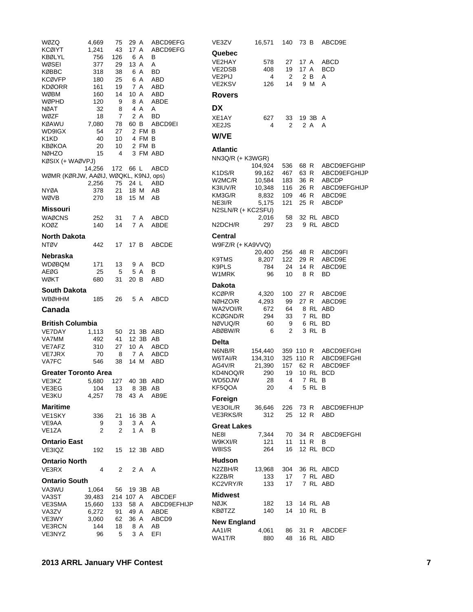| WØZQ                                  | 4,669           | 75              | 29 A         |             | ABCD9EFG            |
|---------------------------------------|-----------------|-----------------|--------------|-------------|---------------------|
| <b>KCØIYT</b>                         | 1,241           | 43              | 17 A         |             | ABCD9EFG            |
| KBØLYL                                | 756             | 126             |              | 6 A         | в                   |
| WØSEI                                 | 377             | 29              | 13 A         |             | Α                   |
| KØBBC                                 | 318             | 38              |              | 6 A         | BD                  |
| <b>KCØVFP</b>                         | 180             | 25              |              | 6 A         | ABD                 |
| <b>KDØORR</b>                         | 161             | 19              |              | 7 A         | ABD                 |
| WØBM                                  | 160             | 14              |              | 10 A        | ABD                 |
| WØPHD                                 | 120             | 9               |              | 8 A         | ABDE                |
| NØAT<br>WØZF                          | 32              | 8<br>7          |              | 4 A         | Α                   |
| KØAWU                                 | 18<br>7,080     | 78              | 60 B         | 2 A         | BD<br>ABCD9EI       |
| WD9IGX                                | 54              | 27              |              | 2 FM B      |                     |
| K1KD                                  | 40              | 10              |              | 4 FM B      |                     |
| <b>KBØKOA</b>                         | 20              | 10              |              | 2 FM B      |                     |
| <b>NØHZO</b>                          | 15              | 4               |              |             | 3 FM ABD            |
| KØSIX (+ WAØVPJ)                      |                 |                 |              |             |                     |
|                                       | 14,256          | 172 66 L        |              |             | <b>ABCD</b>         |
| WØMR (KØRJW, AAØIJ, WØQKL, K9NJ, ops) |                 |                 |              |             |                     |
|                                       | 2,256           |                 | 75 24 L      |             | ABD                 |
| NYØA                                  | 378             | 21              |              | 18 M        | AB                  |
| WØVB                                  | 270             | 18              |              | 15 M        | AВ                  |
| <b>Missouri</b>                       |                 |                 |              |             |                     |
| WAØCNS                                | 252             | 31              |              | 7 A         | <b>ABCD</b>         |
| <b>KOØZ</b>                           | 140             | 14              |              | 7 A         | ABDE                |
|                                       |                 |                 |              |             |                     |
| North Dakota                          |                 |                 |              |             |                     |
| <b>NTØV</b>                           | 442             | 17              | 17 B         |             | <b>ABCDE</b>        |
| Nebraska                              |                 |                 |              |             |                     |
| <b>WDØBQM</b>                         | 171             | 13              |              | 9 A         | BCD                 |
| AEØG                                  | 25              | 5               |              | 5 A         | В                   |
| WØKT                                  | 680             | 31 -            |              | 20 B        | ABD                 |
|                                       |                 |                 |              |             |                     |
| <b>South Dakota</b>                   |                 |                 |              |             |                     |
| <b>WBØHHM</b>                         | 185             | 26              |              | 5 A         | ABCD                |
| Canada                                |                 |                 |              |             |                     |
|                                       |                 |                 |              |             |                     |
| <b>British Columbia</b>               |                 |                 |              |             |                     |
| <b>VE7DAY</b>                         | 1,113           | 50              |              | 21 3B       | ABD                 |
| VA7MM                                 | 492             | 41<br>27        |              | 12 3B       | AB                  |
| VE7AFZ<br><b>VE7JRX</b>               | 310<br>70       | 8               |              | 10 A<br>7 A | <b>ABCD</b><br>ABCD |
| VA7FC                                 | 546             | 38              |              | 14 M        | ABD                 |
|                                       |                 |                 |              |             |                     |
| <b>Greater Toronto Area</b>           |                 |                 |              |             |                     |
| VE3KZ                                 | 5,680           | 127             |              | 40 3B       | ABD                 |
| VE3EG                                 | 104             | 13              |              | 8 3B        | AВ                  |
| VE3KU                                 | 4,257           | 78              | 43 A         |             | AB9E                |
| <b>Maritime</b>                       |                 |                 |              |             |                     |
| VE1SKY                                | 336             | 21              |              | 16 3B       | Α                   |
| VE9AA                                 | 9               | 3               |              | 3 A         | Α                   |
| VE <sub>1</sub> ZA                    | 2               | 2               | 1            | A           | в                   |
| <b>Ontario East</b>                   |                 |                 |              |             |                     |
|                                       |                 |                 |              |             |                     |
| VE3IQZ                                | 192             | 15              |              | 12 3B       | ABD                 |
| <b>Ontario North</b>                  |                 |                 |              |             |                     |
| VE3RX                                 | 4               | 2               |              | 2 A         | A                   |
| <b>Ontario South</b>                  |                 |                 |              |             |                     |
|                                       |                 |                 |              |             |                     |
| VA3WU                                 | 1,064           | 56<br>214 107 A |              | 19 3B       | AΒ                  |
| VA3ST                                 | 39,483          |                 |              |             | ABCDEF              |
| VE3SMA<br>VA3ZV                       | 15,660<br>6,272 | 133<br>91       | 58 A<br>49 A |             | ABCD9EFHIJP<br>ABDE |
| VE3WY                                 | 3,060           | 62              | 36 A         |             | ABCD9               |
| VE3RCN                                | 144             | 18              |              | 8 A         | AВ                  |
|                                       |                 |                 |              |             |                     |

| VE3ZV              | 16,571  | 140 | 73 B      |        | ABCD9E       |
|--------------------|---------|-----|-----------|--------|--------------|
| Quebec             |         |     |           |        |              |
| VE2HAY             | 578     | 27  | 17 A      |        | ABCD         |
| VE2DSB             | 408     | 19  | 17 A      |        | BCD          |
| VE2PIJ             | 4       | 2   |           | 2 B    | A            |
| VE2KSV             | 126     | 14  |           | 9 M    | А            |
| Rovers             |         |     |           |        |              |
| DX                 |         |     |           |        |              |
| XE1AY              | 627     | 33  |           | 19 3B  | А            |
| XE2JS              | 4       | 2   |           | 2 A    | А            |
| <b>W/VE</b>        |         |     |           |        |              |
| Atlantic           |         |     |           |        |              |
| NN3Q/R (+ K3WGR)   |         |     |           |        |              |
|                    | 104,924 | 536 | 68 R      |        | ABCD9EFGHIP  |
| K1DS/R             | 99,162  | 467 | 63 R      |        | ABCD9EFGHIJP |
| W2MC/R             | 10,584  | 183 | 36 R      |        | <b>ABCDP</b> |
| K3IUV/R            | 10,348  | 116 | 26 R      |        | ABCD9EFGHIJP |
| KM3G/R             | 8,832   | 109 | 46 R      |        | ABCD9E       |
| NE3I/R             | 5,175   | 121 | 25 R      |        | <b>ABCDP</b> |
| N2SLN/R (+ KC2SFU) |         |     |           |        |              |
|                    | 2,016   | 58  |           | 32 RL  | ABCD         |
| N2DCH/R            | 297     | 23  |           | 9 RL   | ABCD         |
| Central            |         |     |           |        |              |
| W9FZ/R (+ KA9VVQ)  |         |     |           |        |              |
|                    | 20,400  | 256 | 48 R      |        | ABCD9FI      |
| K9TMS              | 8,207   | 122 | 29 R      |        | ABCD9E       |
| K9PLS              | 784     | 24  | 14 R      |        | ABCD9E       |
| W1MRK              | 96      | 10  |           | 8 R    | BD           |
| Dakota             |         |     |           |        |              |
|                    |         |     |           |        |              |
| KCØP/R             | 4,320   | 100 | 27 R      |        | ABCD9E       |
| NØHZO/R            | 4,293   | 99  | 27 R      |        | ABCD9E       |
| WA2VOI/R           | 672     | 64  |           | 8 RL   | ABD          |
| KCØGND/R           | 294     | 33  |           | 7 RL   | BD           |
| NØVUQ/R            | 60      | 9   |           | 6 RL   | BD           |
| ABØBW/R            | 6       | 2   |           | 3 RL   | в            |
| Delta              |         |     |           |        |              |
| N6NB/R             | 154,440 |     | 359 110 R |        | ABCD9EFGHI   |
| W6TAI/R            | 134,310 | 325 | 110 R     |        | ABCD9EFGHI   |
| AG4V/R             | 21,390  | 157 | 62 R      |        | ABCD9EF      |
| KD4NOQ/R           | 290     | 19  |           | 10 RL  | BCD          |
| WD5DJW             | 28      |     | 4 7 RL    |        | В            |
| KF5QOA             | 20      | 4   |           | 5 RL B |              |
|                    |         |     |           |        |              |
| Foreign            |         |     |           |        |              |
| VE3OIL/R           | 36,646  | 226 | 73 R      |        | ABCD9EFHIJP  |
| <b>VE3RKS/R</b>    | 312     | 25  | 12 R      |        | ABD          |
| Great Lakes        |         |     |           |        |              |
| NE8I               | 7,344   | 70  | 34 R      |        | ABCD9EFGHI   |
| W9KXI/R            | 121     | 11  | 11        | R      | в            |
| W8ISS              | 264     | 16  |           | 12 RL  | BCD          |
|                    |         |     |           |        |              |
| Hudson             |         |     |           |        |              |
| N2ZBH/R            | 13,968  | 304 |           |        | 36 RL ABCD   |
| K2ZB/R             | 133     | 17  |           | 7 RL   | <b>ABD</b>   |
| KC2VRY/R           | 133     | 17  |           | 7 RL   | ABD          |
| <b>Midwest</b>     |         |     |           |        |              |
| NØJK               | 182     | 13  |           | 14 RL  | AB           |
| <b>KBØTZZ</b>      | 140     | 14  |           | 10 RL  | в            |
| <b>New England</b> |         |     |           |        |              |
| AA1I/R             | 4,061   | 86  | 31        | R      | ABCDEF       |
| WA1T/R             | 880     | 48  |           | 16 RL  | ABD          |
|                    |         |     |           |        |              |